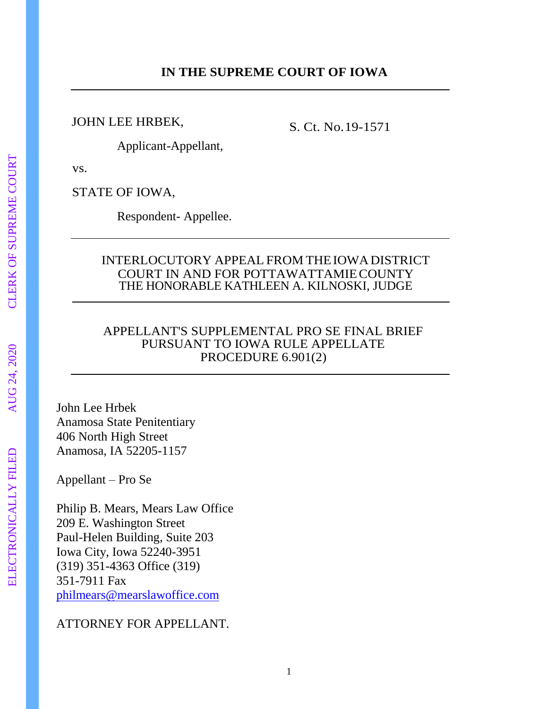#### JOHN LEE HRBEK,

S. Ct. No.19-1571

Applicant-Appellant,

vs.

STATE OF IOWA,

Respondent- Appellee.

#### INTERLOCUTORY APPEAL FROM THE IOWA DISTRICT COURT IN AND FOR POTTAWATTAMIE COUNTY THE HONORABLE KATHLEEN A. KILNOSKI, JUDGE

#### APPELLANT'S SUPPLEMENTAL PRO SE FINAL BRIEF PURSUANT TO IOWA RULE APPELLATE PROCEDURE  $6.901(2)$

John Lee Hrbek Anamosa State Penitentiary 406 North High Street Anamosa, IA 52205-1157

Appellant – Pro Se

Philip B. Mears, Mears Law Office 209 E. Washington Street Paul-Helen Building, Suite 203 Iowa City, Iowa 52240-3951 (319) 351-4363 Office (319) 351-7911 Fax [philmears@mearslawoffice.com](mailto:philmears@mearslawoffice.com)

## ATTORNEY FOR APPELLANT.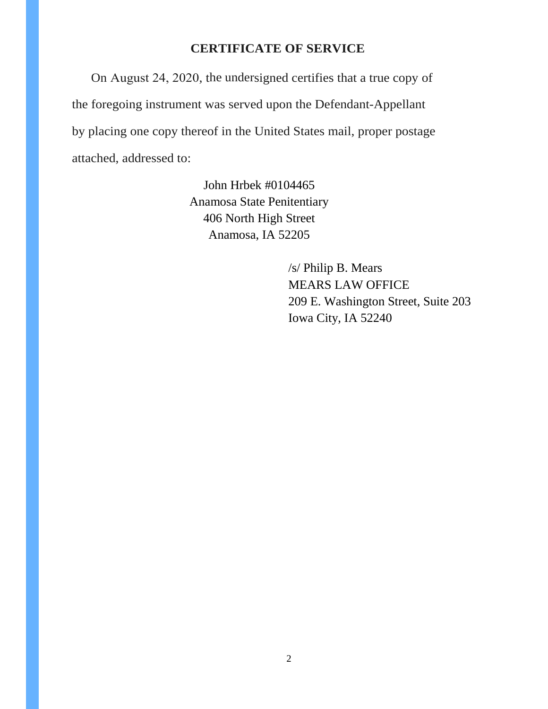#### **CERTIFICATE OF SERVICE**

On August 24, 2020, the undersigned certifies that a true copy of the foregoing instrument was served upon the Defendant-Appellant by placing one copy thereof in the United States mail, proper postage attached, addressed to:

> John Hrbek #0104465 Anamosa State Penitentiary 406 North High Street Anamosa, IA 52205

> > /s/ Philip B. Mears MEARS LAW OFFICE 209 E. Washington Street, Suite 203 Iowa City, IA 52240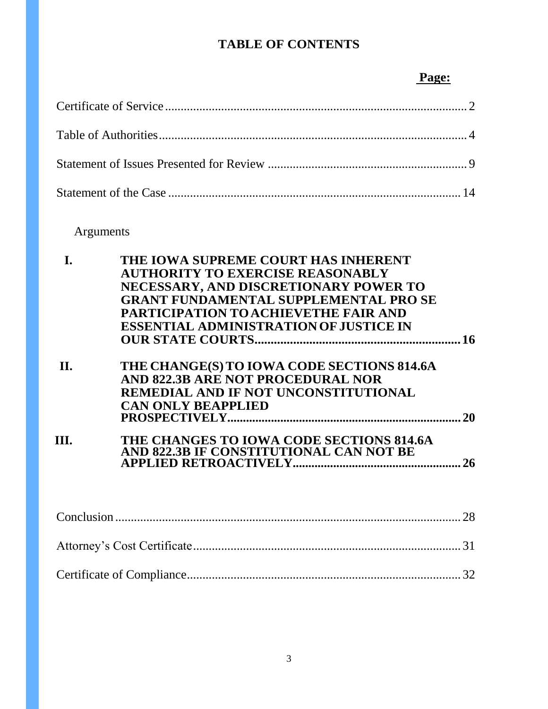## **TABLE OF CONTENTS**

### **Page:**

# Arguments

| THE IOWA SUPREME COURT HAS INHERENT<br>I.                                                   |  |
|---------------------------------------------------------------------------------------------|--|
| <b>AUTHORITY TO EXERCISE REASONABLY</b>                                                     |  |
| NECESSARY, AND DISCRETIONARY POWER TO                                                       |  |
| <b>GRANT FUNDAMENTAL SUPPLEMENTAL PRO SE</b>                                                |  |
| <b>PARTICIPATION TO ACHIEVETHE FAIR AND</b>                                                 |  |
| <b>ESSENTIAL ADMINISTRATION OF JUSTICE IN</b>                                               |  |
|                                                                                             |  |
| II.<br>THE CHANGE(S) TO IOWA CODE SECTIONS 814.6A                                           |  |
| AND 822.3B ARE NOT PROCEDURAL NOR                                                           |  |
| REMEDIAL AND IF NOT UNCONSTITUTIONAL                                                        |  |
| <b>CAN ONLY BEAPPLIED</b>                                                                   |  |
|                                                                                             |  |
| III.<br>THE CHANGES TO IOWA CODE SECTIONS 814.6A<br>AND 822.3B IF CONSTITUTIONAL CAN NOT BE |  |
|                                                                                             |  |
|                                                                                             |  |
|                                                                                             |  |
|                                                                                             |  |

Certificate of Compliance........................................................................................ 32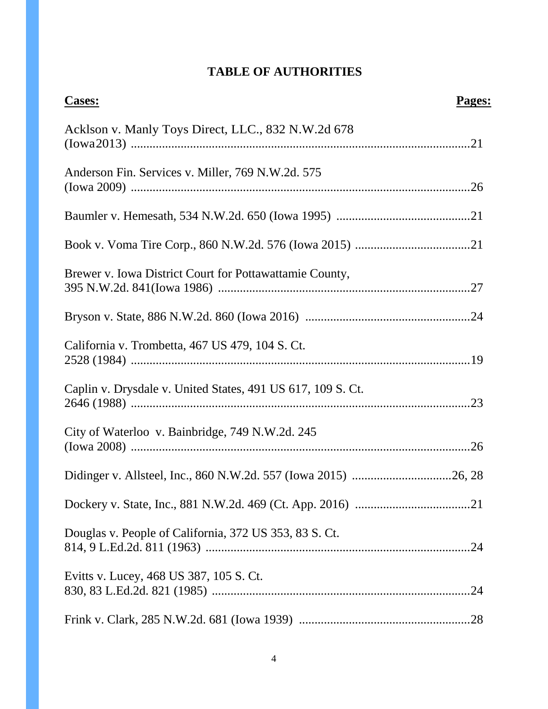## **TABLE OF AUTHORITIES**

| <b>Cases:</b>                                               | Pages: |
|-------------------------------------------------------------|--------|
| Acklson v. Manly Toys Direct, LLC., 832 N.W.2d 678          |        |
| Anderson Fin. Services v. Miller, 769 N.W.2d. 575           |        |
|                                                             |        |
|                                                             |        |
| Brewer v. Iowa District Court for Pottawattamie County,     |        |
|                                                             |        |
| California v. Trombetta, 467 US 479, 104 S. Ct.             |        |
| Caplin v. Drysdale v. United States, 491 US 617, 109 S. Ct. |        |
| City of Waterloo v. Bainbridge, 749 N.W.2d. 245             |        |
|                                                             |        |
|                                                             |        |
| Douglas v. People of California, 372 US 353, 83 S. Ct.      |        |
| Evitts v. Lucey, 468 US 387, 105 S. Ct.                     |        |
|                                                             |        |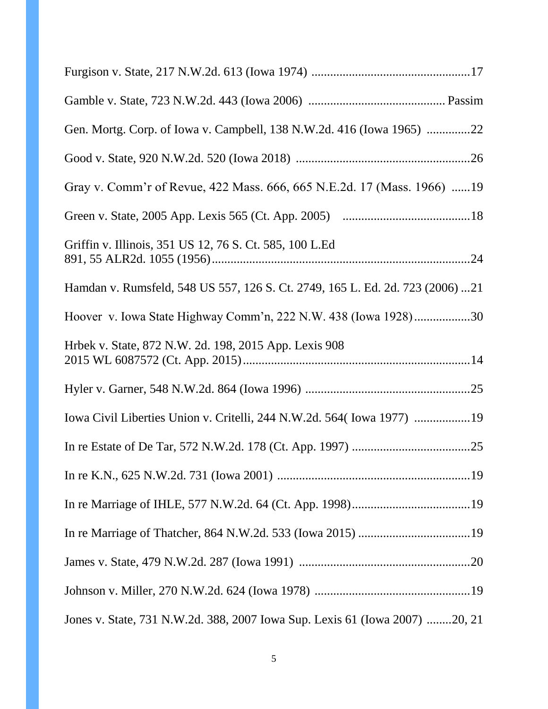| Gen. Mortg. Corp. of Iowa v. Campbell, 138 N.W.2d. 416 (Iowa 1965) 22         |
|-------------------------------------------------------------------------------|
|                                                                               |
| Gray v. Comm'r of Revue, 422 Mass. 666, 665 N.E.2d. 17 (Mass. 1966) 19        |
|                                                                               |
| Griffin v. Illinois, 351 US 12, 76 S. Ct. 585, 100 L.Ed                       |
| Hamdan v. Rumsfeld, 548 US 557, 126 S. Ct. 2749, 165 L. Ed. 2d. 723 (2006) 21 |
| Hoover v. Iowa State Highway Comm'n, 222 N.W. 438 (Iowa 1928)30               |
| Hrbek v. State, 872 N.W. 2d. 198, 2015 App. Lexis 908                         |
|                                                                               |
| Iowa Civil Liberties Union v. Critelli, 244 N.W.2d. 564 (Iowa 1977) 19        |
|                                                                               |
|                                                                               |
|                                                                               |
|                                                                               |
|                                                                               |
|                                                                               |
| Jones v. State, 731 N.W.2d. 388, 2007 Iowa Sup. Lexis 61 (Iowa 2007) 20, 21   |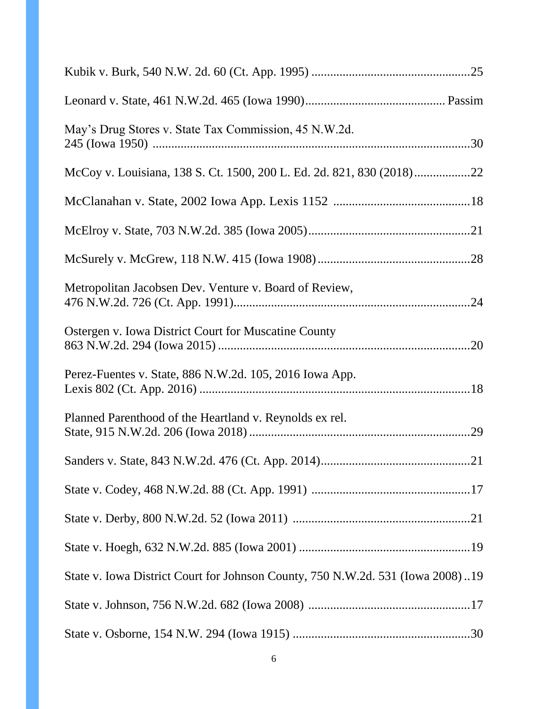| May's Drug Stores v. State Tax Commission, 45 N.W.2d.                          |  |
|--------------------------------------------------------------------------------|--|
|                                                                                |  |
|                                                                                |  |
|                                                                                |  |
|                                                                                |  |
| Metropolitan Jacobsen Dev. Venture v. Board of Review,                         |  |
| Ostergen v. Iowa District Court for Muscatine County                           |  |
| Perez-Fuentes v. State, 886 N.W.2d. 105, 2016 Iowa App.                        |  |
| Planned Parenthood of the Heartland v. Reynolds ex rel.                        |  |
|                                                                                |  |
|                                                                                |  |
|                                                                                |  |
|                                                                                |  |
| State v. Iowa District Court for Johnson County, 750 N.W.2d. 531 (Iowa 2008)19 |  |
|                                                                                |  |
|                                                                                |  |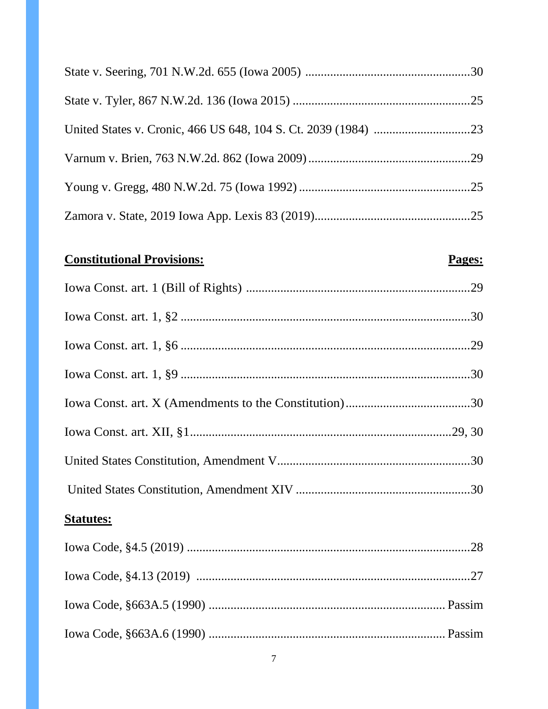# **Constitutional Provisions:**

## Pages:

| <b>Statutes:</b> |  |
|------------------|--|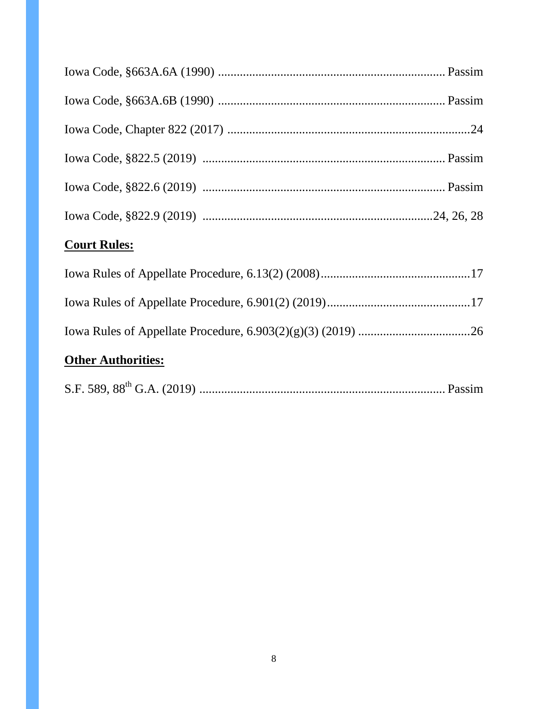| <b>Court Rules:</b>       |  |
|---------------------------|--|
|                           |  |
|                           |  |
|                           |  |
| <b>Other Authorities:</b> |  |

|--|--|--|--|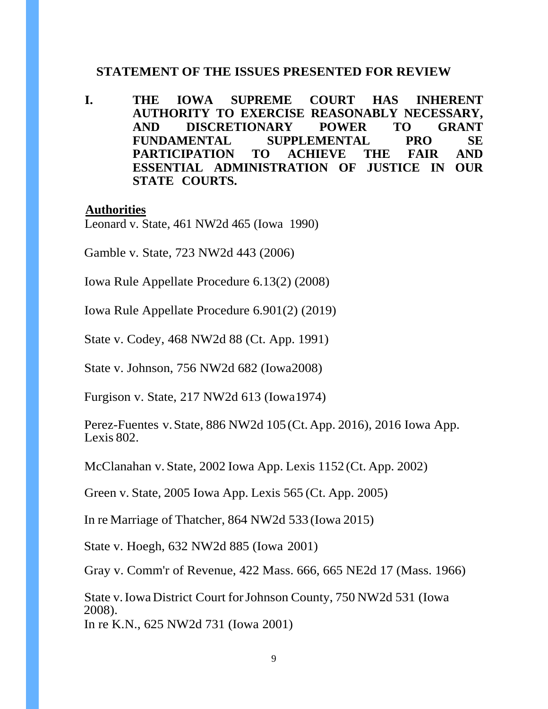#### **STATEMENT OF THE ISSUES PRESENTED FOR REVIEW**

**I. THE IOWA SUPREME COURT HAS INHERENT AUTHORITY TO EXERCISE REASONABLY NECESSARY, AND DISCRETIONARY POWER TO GRANT FUNDAMENTAL SUPPLEMENTAL PRO SE PARTICIPATION TO ACHIEVE THE FAIR AND ESSENTIAL ADMINISTRATION OF JUSTICE IN OUR STATE COURTS.** 

#### **Authorities**

Leonard v. State, 461 NW2d 465 (Iowa 1990)

Gamble v. State, 723 NW2d 443 (2006)

Iowa Rule Appellate Procedure 6.13(2) (2008)

Iowa Rule Appellate Procedure 6.901(2) (2019)

State v. Codey, 468 NW2d 88 (Ct. App. 1991)

State v. Johnson, 756 NW2d 682 (Iowa 2008)

Furgison v. State, 217 NW2d 613 (Iowa 1974)

Perez-Fuentes v. State, 886 NW2d 105 (Ct. App. 2016), 2016 Iowa App. Lexis 802.

McClanahan v. State, 2002 Iowa App. Lexis 1152 (Ct. App. 2002)

Green v. State, 2005 Iowa App. Lexis 565 (Ct. App. 2005)

In re Marriage of Thatcher, 864 NW2d 533 (Iowa 2015)

State v. Hoegh, 632 NW2d 885 (Iowa 2001)

Gray v. Comm'r of Revenue, 422 Mass. 666, 665 NE2d 17 (Mass. 1966)

State v. Iowa District Court for Johnson County, 750 NW2d 531 (Iowa 2008). In re K.N., 625 NW2d 731 (Iowa 2001)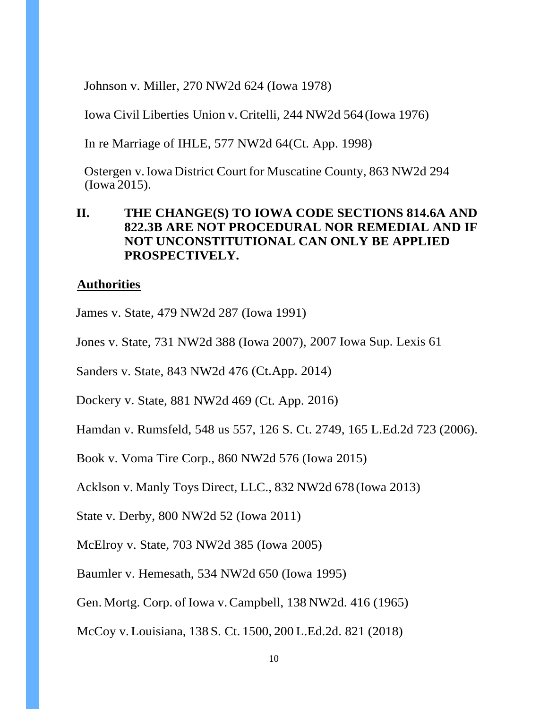Johnson v. Miller, 270 NW2d 624 (Iowa 1978)

Iowa Civil Liberties Union v. Critelli, 244 NW2d 564 (Iowa 1976)

In re Marriage of IHLE, 577 NW2d 64(Ct. App. 1998)

Ostergen v. Iowa District Court for Muscatine County, 863 NW2d 294 (Iowa 2015).

#### **II. THE CHANGE(S) TO IOWA CODE SECTIONS 814.6A AND 822.3B ARE NOT PROCEDURAL NOR REMEDIAL AND IF NOT UNCONSTITUTIONAL CAN ONLY BE APPLIED PROSPECTIVELY.**

#### **Authorities**

James v. State, 479 NW2d 287 (Iowa 1991)

Jones v. State, 731 NW2d 388 (Iowa 2007), 2007 Iowa Sup. Lexis 61

Sanders v. State, 843 NW2d 476 (Ct. App. 2014)

Dockery v. State, 881 NW2d 469 (Ct. App.2016)

Hamdan v. Rumsfeld, 548 us 557, 126 S. Ct. 2749, 165 L.Ed.2d 723 (2006).

Book v. Voma Tire Corp., 860 NW2d 576 (Iowa2015)

Acklson v. Manly Toys Direct, LLC., 832 NW2d 678 (Iowa 2013)

State v. Derby, 800 NW2d 52 (Iowa 2011)

McElroy v. State, 703 NW2d 385 (Iowa 2005)

Baumler v. Hemesath, 534 NW2d 650 (Iowa 1995)

Gen. Mortg. Corp. of Iowa v. Campbell, 138 NW2d. 416 (1965)

McCoy v. Louisiana, 138 S. Ct. 1500, 200 L.Ed.2d. 821 (2018)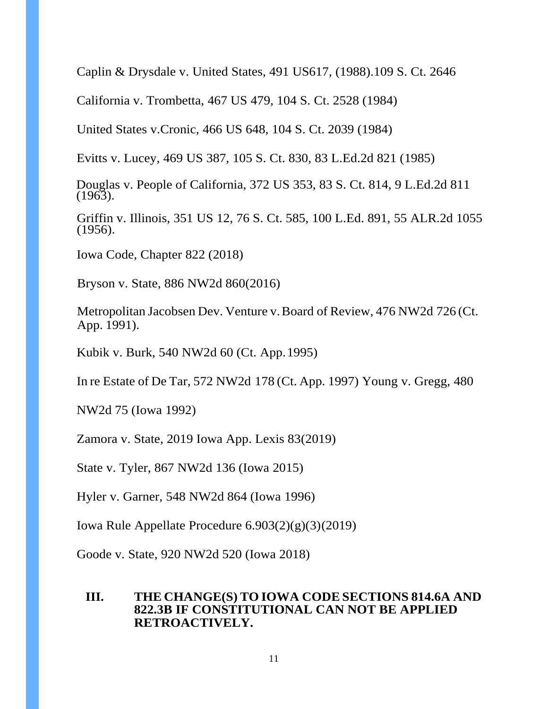Caplin & Drysdale v. United States, 491 US617, (1988).109 S. Ct. 2646

California v. Trombetta, 467 US 479, 104 S. Ct. 2528 (1984)

United States v. Cronic, 466 US 648, 104 S. Ct. 2039 (1984)

Evitts v. Lucey, 469 US 387, 105 S. Ct. 830, 83 L.Ed.2d 821 ( 1985)

Douglas v. People of California, 372 US 353, 83 S. Ct. 814, 9 L.Ed.2d 811 (1963).

Griffin v. Illinois, 351 US 12, 76 S. Ct. 585, 100 L.Ed. 891, 55 ALR.2d 1055 (1956).

Iowa Code, Chapter 822 (2018)

Bryson v. State, 886 NW2d 860(2016)

Metropolitan Jacobsen Dev. Venture v. Board of Review, 476 NW2d 726 (Ct. App. 1991).

Kubik v. Burk, 540 NW2d 60 (Ct. App. 1995)

In re Estate of De Tar, 572 NW2d 178 (Ct. App. 1997) Young v. Gregg, 480

NW2d 75 (Iowa 1992)

Zamora v. State, 2019 Iowa App. Lexis 83 (2019)

State v. Tyler, 867 NW2d 136 (Iowa 2015)

Hyler v. Garner, 548 NW2d 864 (Iowa 1996)

Iowa Rule Appellate Procedure 6.903(2)(g)(3) (2019)

Goode v. State, 920 NW2d 520 (Iowa 2018)

#### **III. THE CHANGE(S) TO IOWA CODE SECTIONS 814.6A AND 822.3B IF CONSTITUTIONAL CAN NOT BE APPLIED RETROACTIVELY.**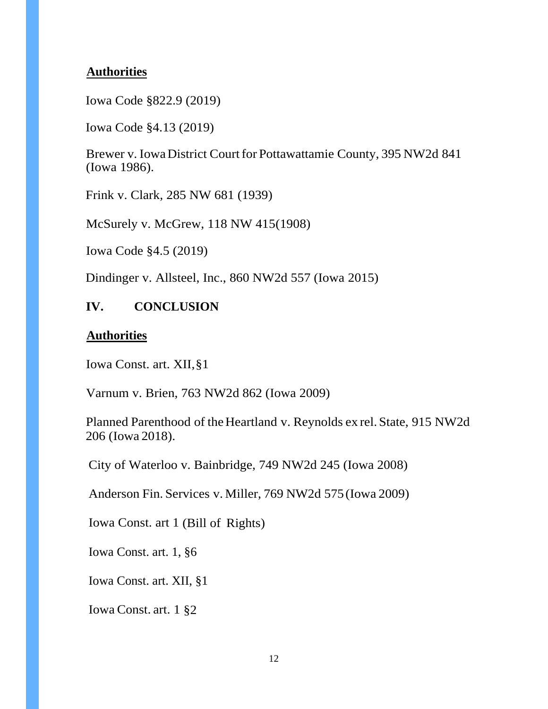#### **Authorities**

Iowa Code §822.9 (2019)

Iowa Code §4.13 (2019)

Brewer v. Iowa District Court for Pottawattamie County, 395 NW2d 841 (Iowa 1986).

Frink v. Clark, 285 NW 681 (1939)

McSurely v. McGrew, 118 NW 415(1908)

Iowa Code §4.5 (2019)

Dindinger v. Allsteel, Inc., 860 NW2d 557 (Iowa 2015)

#### **IV. CONCLUSION**

#### **Authorities**

Iowa Const. art. XII, §1

Varnum v. Brien, 763 NW2d 862 (Iowa 2009)

Planned Parenthood of the Heartland v. Reynolds ex rel. State, 915 NW2d 206 (Iowa 2018).

City of Waterloo v. Bainbridge, 749 NW2d 245 (Iowa 2008)

Anderson Fin. Services v. Miller, 769 NW2d 575 (Iowa 2009)

Iowa Const. art 1 (Bill of Rights)

Iowa Const. art. 1, §6

Iowa Const. art. XII, §1

Iowa Const. art. 1 §2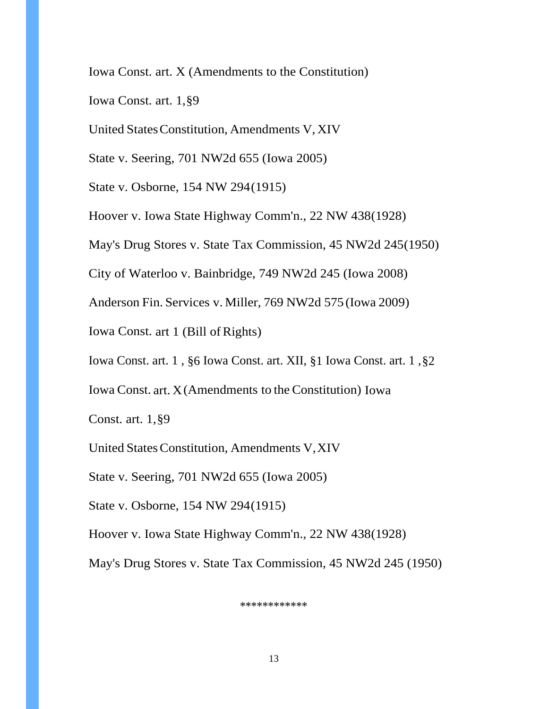Iowa Const. art. X (Amendments to the Constitution)

Iowa Const. art. 1, §9

United States Constitution, Amendments V, XIV

State v. Seering, 701 NW2d 655 (Iowa 2005)

State v. Osborne, 154 NW 294 (1915)

Hoover v. Iowa State Highway Comm'n., 22 NW 438 (1928)

May's Drug Stores v. State Tax Commission, 45 NW2d 245(1950)

City of Waterloo v. Bainbridge, 749 NW2d 245 (Iowa 2008)

Anderson Fin. Services v. Miller, 769 NW2d 575 (Iowa 2009)

Iowa Const. art 1 (Bill of Rights)

Iowa Const. art. 1 , §6 Iowa Const. art. XII, §1 Iowa Const. art. 1 , §2

Iowa Const. art. X (Amendments to the Constitution) Iowa

Const. art. 1, §9

United States Constitution, Amendments V, XIV

State v. Seering, 701 NW2d 655 (Iowa 2005)

State v. Osborne, 154 NW 294 (1915)

Hoover v. Iowa State Highway Comm'n., 22 NW 438 (1928)

May's Drug Stores v. State Tax Commission, 45 NW2d 245 (1950)

\*\*\*\*\*\*\*\*\*\*\*\*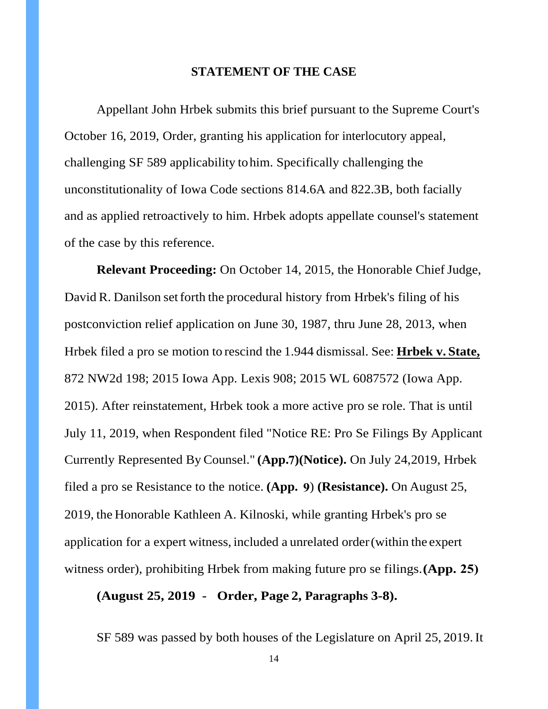#### **STATEMENT OF THE CASE**

Appellant John Hrbek submits this brief pursuant to the Supreme Court's October 16, 2019, Order, granting his application for interlocutory appeal, challenging SF 589 applicability tohim. Specifically challenging the unconstitutionality of Iowa Code sections 814.6A and 822.3B, both facially and as applied retroactively to him. Hrbek adopts appellate counsel's statement of the case by this reference.

**Relevant Proceeding:** On October 14, 2015, the Honorable Chief Judge, David R. Danilson set forth the procedural history from Hrbek's filing of his postconviction relief application on June 30, 1987, thru June 28, 2013, when Hrbek filed a pro se motion to rescind the 1.944 dismissal. See: **Hrbek v. State,** 872 NW2d 198; 2015 Iowa App. Lexis 908; 2015 WL 6087572 (Iowa App. 2015). After reinstatement, Hrbek took a more active pro se role. That is until July 11, 2019, when Respondent filed "Notice RE: Pro Se Filings By Applicant Currently Represented By Counsel." (App.7)(Notice). On July 24, 2019, Hrbek filed a pro se Resistance to the notice. **(App. 9**) **(Resistance).** On August 25, 2019, the Honorable Kathleen A. Kilnoski, while granting Hrbek's pro se application for a expert witness, included a unrelated order (within the expert witness order), prohibiting Hrbek from making future pro se filings. **(App. 25)**

#### **(August 25, 2019 - Order, Page 2, Paragraphs 3-8).**

SF 589 was passed by both houses of the Legislature on April 25, 2019.It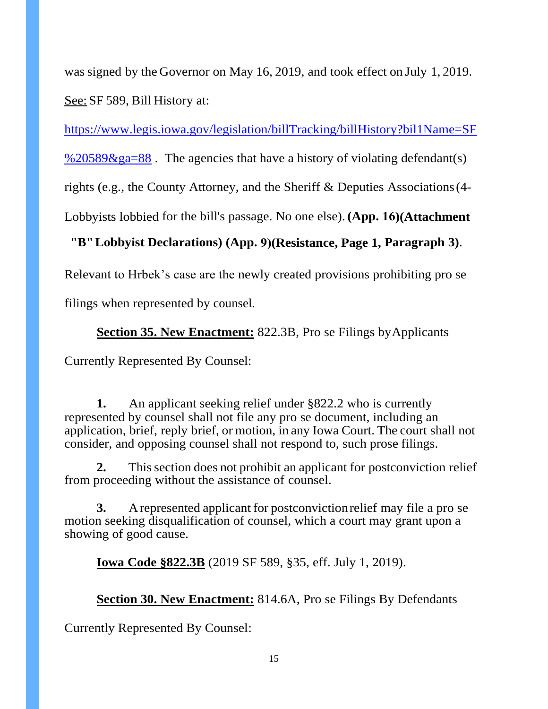was signed by the Governor on May 16, 2019, and took effect on July 1, 2019. See: SF 589, Bill History at:

[https://www.legis.iowa.gov/legislation/billTracking/billHistory?bil1Name=SF](https://www.legis.iowa.gov/legislation/billTracking/billHistory?bil1Name=SF%20589&ga=88)

%20589 $\&$ ga=88. The agencies that have a history of violating defendant(s)

rights (e.g., the County Attorney, and the Sheriff & Deputies Associations (4-

Lobbyists lobbied for the bill's passage. No one else). **(App. 16)(Attachment** 

## **"B" Lobbyist Declarations) (App. 9)(Resistance, Page 1, Paragraph 3)**.

Relevant to Hrbek's case are the newly created provisions prohibiting pro se

filings when represented by counsel..

## **Section 35. New Enactment:** 822.3B, Pro se Filings by Applicants

Currently Represented By Counsel:

**1.** An applicant seeking relief under §822.2 who is currently represented by counsel shall not file any pro se document, including an application, brief, reply brief, or motion, in any Iowa Court. The court shall not consider, and opposing counsel shall not respond to, such prose filings.

**2.** This section does not prohibit an applicant for postconviction relief from proceeding without the assistance of counsel.

**3.** A represented applicant for postconviction relief may file a pro se motion seeking disqualification of counsel, which a court may grant upon a showing of good cause.

**Iowa Code §822.3B** (2019 SF 589, §35, eff. July 1, 2019).

**Section 30. New Enactment:** 814.6A, Pro se Filings By Defendants

Currently Represented By Counsel: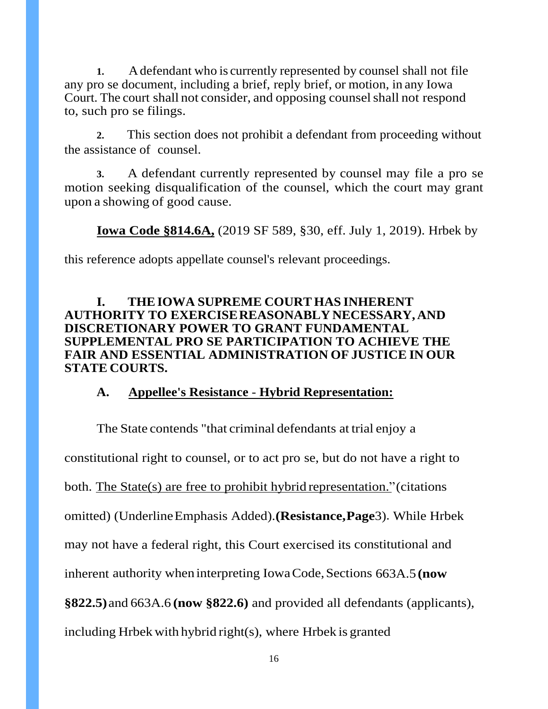**1.** A defendant who is currently represented by counsel shall not file any pro se document, including a brief, reply brief, or motion, in any Iowa Court. The court shall not consider, and opposing counsel shall not respond to, such pro se filings.

**2.** This section does not prohibit a defendant from proceeding without the assistance of counsel.

**3.** A defendant currently represented by counsel may file a pro se motion seeking disqualification of the counsel, which the court may grant upon a showing of good cause.

**Iowa Code §814.6A,** (2019 SF 589, §30, eff. July 1, 2019). Hrbek by

this reference adopts appellate counsel's relevant proceedings.

#### **I. THE IOWA SUPREME COURT HAS INHERENT AUTHORITY TO EXERCISE REASONABLY NECESSARY, AND DISCRETIONARY POWER TO GRANT FUNDAMENTAL SUPPLEMENTAL PRO SE PARTICIPATION TO ACHIEVE THE FAIR AND ESSENTIAL ADMINISTRATION OF JUSTICE IN OUR STATE COURTS.**

#### **A. Appellee's Resistance** - **Hybrid Representation:**

The State contends "that criminal defendants at trial enjoy a constitutional right to counsel, or to act pro se, but do not have a right to both. The State(s) are free to prohibit hybrid representation." (citations omitted) (Underline Emphasis Added). **(Resistance, Page** 3). While Hrbek may not have a federal right, this Court exercised its constitutional and inherent authority when interpreting Iowa Code, Sections 663A.5 **(now §822.5)**and 663A.6 **(now §822.6)** and provided all defendants (applicants), including Hrbek with hybrid right(s), where Hrbek is granted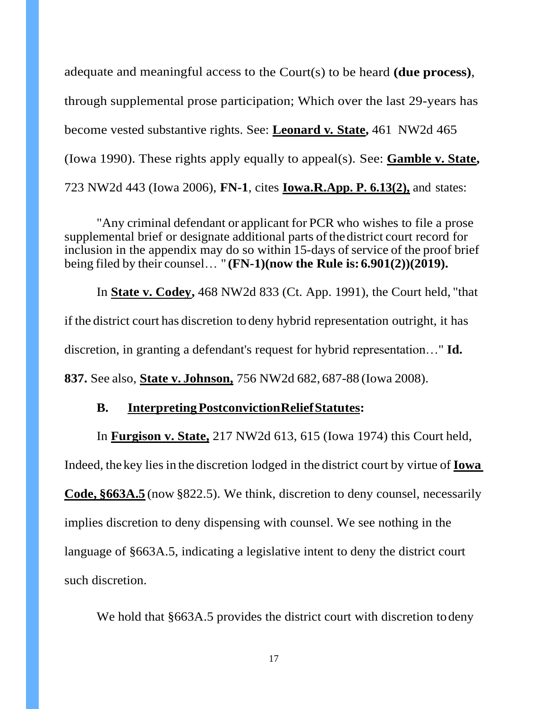adequate and meaningful access to the Court(s) to be heard **(due process)**, through supplemental prose participation; Which over the last 29-years has become vested substantive rights. See: **Leonard v***.* **State,** 461 NW2d 465 (Iowa 1990). These rights apply equally to appeal(s). See: **Gamble v. State,**  723 NW2d 443 (Iowa 2006), **FN-1**, cites **Iowa.R.App. P. 6.13(2),** and states:

"Any criminal defendant or applicant for PCR who wishes to file a prose supplemental brief or designate additional parts of the district court record for inclusion in the appendix may do so within 15-days of service of the proof brief being filed by their counsel… " **(FN-1)(now the Rule is: 6.901(2))(2019).**

In **State v. Codey,** 468 NW2d 833 (Ct. App. 1991), the Court held, "that if the district court has discretion to deny hybrid representation outright, it has discretion, in granting a defendant's request for hybrid representation…" **Id. 837.** See also, **State v. Johnson,** 756 NW2d 682, 687-88 (Iowa 2008).

#### **B. Interpreting Postconviction Relief Statutes:**

In **Furgison v. State,** 217 NW2d 613, 615 (Iowa 1974) this Court held,

Indeed, the key lies in the discretion lodged in the district court by virtue of **Iowa Code, §663A.5** (now §822.5). We think, discretion to deny counsel, necessarily implies discretion to deny dispensing with counsel. We see nothing in the language of §663A.5, indicating a legislative intent to deny the district court such discretion.

We hold that  $§663A.5$  provides the district court with discretion to deny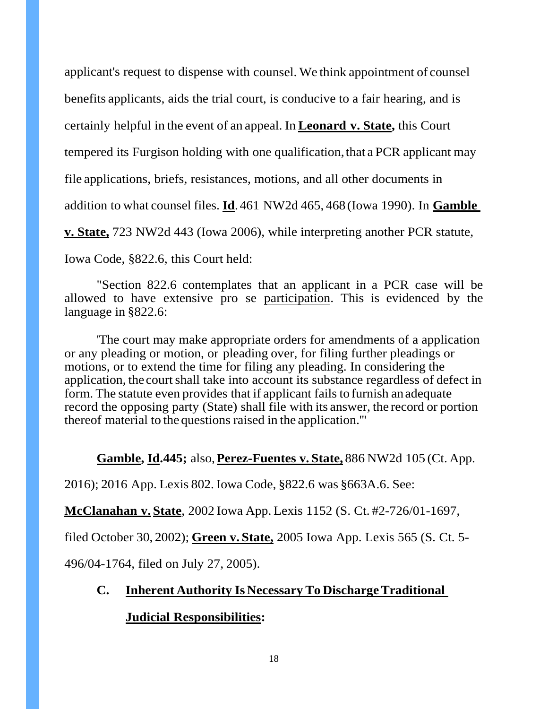applicant's request to dispense with counsel. We think appointment of counsel benefits applicants, aids the trial court, is conducive to a fair hearing, and is certainly helpful in the event of an appeal. In **Leonard v. State,** this Court tempered its Furgison holding with one qualification, that a PCR applicant may file applications, briefs, resistances, motions, and all other documents in addition to what counsel files. **Id**. 461 NW2d 465, 468 (Iowa 1990). In **Gamble v. State,** 723 NW2d 443 (Iowa 2006), while interpreting another PCR statute,

Iowa Code, §822.6, this Court held:

"Section 822.6 contemplates that an applicant in a PCR case will be allowed to have extensive pro se participation. This is evidenced by the language in §822.6:

'The court may make appropriate orders for amendments of a application or any pleading or motion, or pleading over, for filing further pleadings or motions, or to extend the time for filing any pleading. In considering the application, the court shall take into account its substance regardless of defect in form. The statute even provides that if applicant fails to furnish an adequate record the opposing party (State) shall file with its answer, the record or portion thereof material to the questions raised in the application.'''

## **Gamble, Id.445;** also, **Perez-Fuentes v. State,** 886 NW2d 105 (Ct. App.

2016); 2016 App. Lexis 802. Iowa Code, §822.6 was §663A.6. See:

**McClanahan v. State**, 2002 Iowa App. Lexis 1152 (S. Ct. #2-726/01-1697,

filed October 30, 2002); **Green v. State,** 2005 Iowa App. Lexis 565 (S. Ct. 5-

496/04-1764, filed on July 27, 2005).

# **C. Inherent Authority Is Necessary To Discharge Traditional**

## **Judicial Responsibilities:**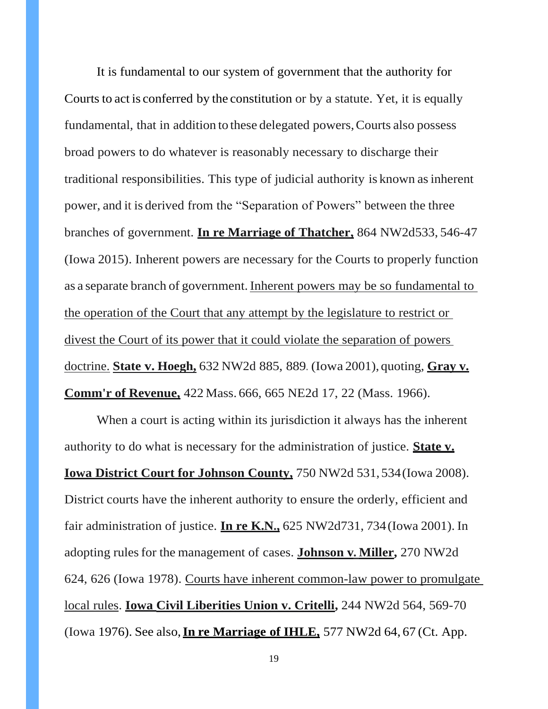It is fundamental to our system of government that the authority for Courts to act is conferred by the constitution or by a statute. Yet, it is equally fundamental, that in addition to these delegated powers, Courts also possess broad powers to do whatever is reasonably necessary to discharge their traditional responsibilities. This type of judicial authority is known as inherent power, and it is derived from the "Separation of Powers" between the three branches of government. **In re Marriage of Thatcher**, 864 NW2d533, 546-47 (Iowa 2015). Inherent powers are necessary for the Courts to properly function as a separate branch of government. Inherent powers may be so fundamental to the operation of the Court that any attempt by the legislature to restrict or divest the Court of its power that it could violate the separation of powers doctrine. **State v. Hoegh,** 632 NW2d 885, 889. (Iowa 2001), quoting, **Gray v. Comm'r of Revenue,** 422 Mass. 666, 665 NE2d 17, 22 (Mass. 1966).

When a court is acting within its jurisdiction it always has the inherent authority to do what is necessary for the administration of justice. **State v. Iowa District Court for Johnson County,** 750 NW2d 531, 534 (Iowa 2008). District courts have the inherent authority to ensure the orderly, efficient and fair administration of justice. **In re K.N.**, 625 NW2d731, 734 (Iowa 2001). In adopting rules for the management of cases. **Johnson v. Miller,** 270 NW2d 624, 626 (Iowa 1978). Courts have inherent common-law power to promulgate local rules. **Iowa Civil Liberities Union v. Critelli,** 244 NW2d 564, 569-70 (Iowa 1976). See also, **In re Marriage of IHLE,** 577 NW2d 64, 67 (Ct. App.

19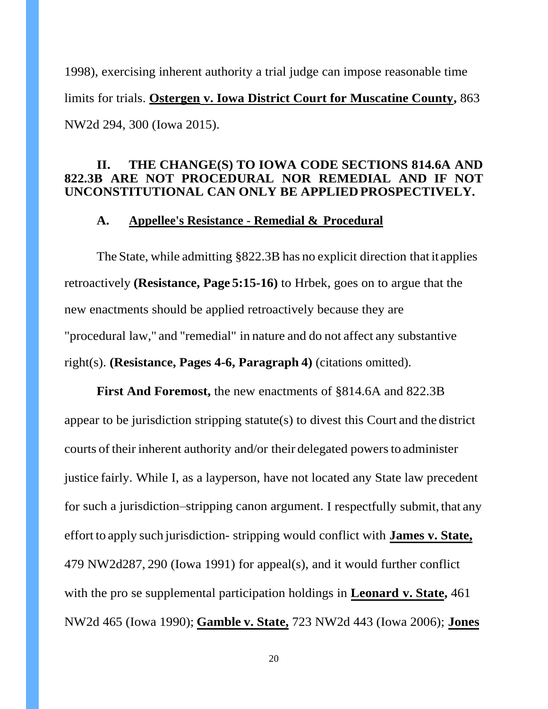1998), exercising inherent authority a trial judge can impose reasonable time limits for trials. **Ostergen v. Iowa District Court for Muscatine County,** 863 NW2d 294, 300 (Iowa 2015).

#### **II. THE CHANGE(S) TO IOWA CODE SECTIONS 814.6A AND 822.3B ARE NOT PROCEDURAL NOR REMEDIAL AND IF NOT UNCONSTITUTIONAL CAN ONLY BE APPLIED PROSPECTIVELY.**

#### **A. Appellee's Resistance** - **Remedial & Procedural**

The State, while admitting §822.3B has no explicit direction that it applies retroactively **(Resistance, Page 5:15-16)** to Hrbek, goes on to argue that the new enactments should be applied retroactively because they are "procedural law," and "remedial" in nature and do not affect any substantive right(s). **(Resistance, Pages 4-6, Paragraph 4)** (citations omitted).

**First And Foremost,** the new enactments of §814.6A and 822.3B appear to be jurisdiction stripping statute(s) to divest this Court and the district courts of their inherent authority and/or their delegated powers to administer justice fairly. While I, as a layperson, have not located any State law precedent for such a jurisdiction–stripping canon argument. I respectfully submit, that any effort to apply such jurisdiction- stripping would conflict with **James v. State,** 479 NW2d 287, 290 (Iowa 1991) for appeal(s), and it would further conflict with the pro se supplemental participation holdings in **Leonard v. State,** 461 NW2d 465 (Iowa 1990); **Gamble v. State,** 723 NW2d 443 (Iowa 2006); **Jones**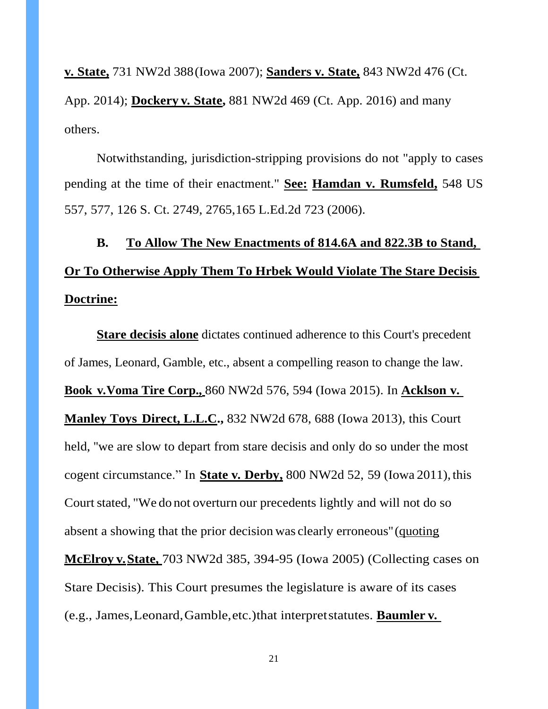**v***.* **State,** 731 NW2d 388 (Iowa 2007); **Sanders v***.* **State,** 843 NW2d 476 (Ct. App. 2014); **Dockery v***.* **State,** 881 NW2d 469 (Ct. App. 2016) and many others.

Notwithstanding, jurisdiction-stripping provisions do not "apply to cases pending at the time of their enactment." **See: Hamdan v***.* **Rumsfeld,** 548 US 557, 577, 126 S. Ct. 2749, 2765, 165 L.Ed.2d 723 (2006).

# **B. To Allow The New Enactments of 814.6A and 822.3B to Stand, Or To Otherwise Apply Them To Hrbek Would Violate The Stare Decisis Doctrine:**

**Stare decisis alone** dictates continued adherence to this Court's precedent of James, Leonard, Gamble, etc., absent a compelling reason to change the law. **Book v***.***Voma Tire Corp.,** 860 NW2d 576, 594 (Iowa 2015). In **Acklson v***.*  **Manley Toys Direct, L.L.C.,** 832 NW2d 678, 688 (Iowa 2013), this Court held, ''we are slow to depart from stare decisis and only do so under the most cogent circumstance." In **State v***.* **Derby,** 800 NW2d 52, 59 (Iowa 2011 ),this Court stated, "We do not overturn our precedents lightly and will not do so absent a showing that the prior decision was clearly erroneous'' (quoting **McElroy v***.***State,** 703 NW2d 385, 394-95 (Iowa 2005) (Collecting cases on Stare Decisis). This Court presumes the legislature is aware of its cases (e.g., James, Leonard, Gamble, etc.) that interpret statutes. **Baumler v***.*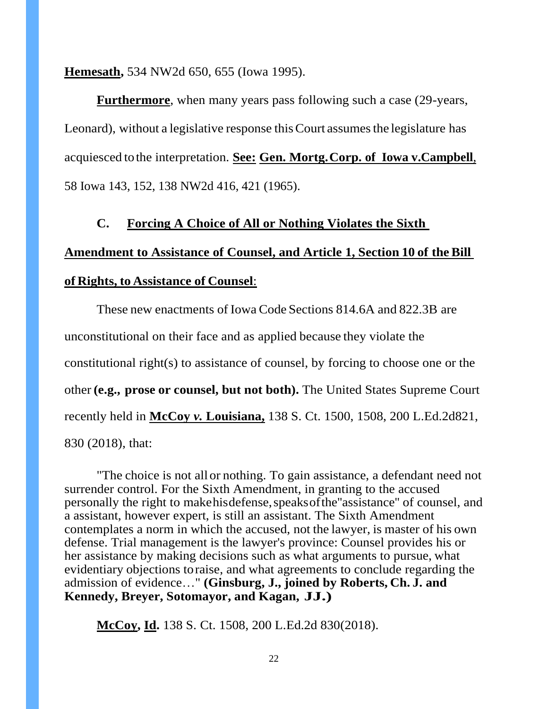**Hemesath,** 534 NW2d 650, 655 (Iowa 1995).

**Furthermore**, when many years pass following such a case (29-years, Leonard), without a legislative response this Court assumes the legislature has acquiesced tothe interpretation. **See: Gen. Mortg. Corp. of Iowa v.Campbell**, 58 Iowa 143, 152, 138 NW2d 416, 421 (1965).

#### **C. Forcing A Choice of All or Nothing Violates the Sixth**

# **Amendment to Assistance of Counsel, and Article 1, Section 10 of the Bill of Rights, to Assistance of Counsel**:

These new enactments of Iowa Code Sections 814.6A and 822.3B are unconstitutional on their face and as applied because they violate the constitutional right(s) to assistance of counsel, by forcing to choose one or the other **(e.g., prose or counsel, but not both).** The United States Supreme Court recently held in **McCoy** *v.* **Louisiana,** 138 S. Ct. 1500, 1508, 200 L.Ed.2d 821, 830 (2018), that:

"The choice is not all or nothing. To gain assistance, a defendant need not surrender control. For the Sixth Amendment, in granting to the accused personally the right to make his defense, speaks ofthe ''assistance'' of counsel, and a assistant, however expert, is still an assistant. The Sixth Amendment contemplates a norm in which the accused, not the lawyer, is master of his own defense. Trial management is the lawyer's province: Counsel provides his or her assistance by making decisions such as what arguments to pursue, what evidentiary objections to raise, and what agreements to conclude regarding the admission of evidence…" **(Ginsburg, J., joined by Roberts, Ch. J. and Kennedy, Breyer, Sotomayor, and Kagan, JJ.)**

**McCoy, Id.** 138 S. Ct. 1508, 200 L.Ed.2d 830(2018).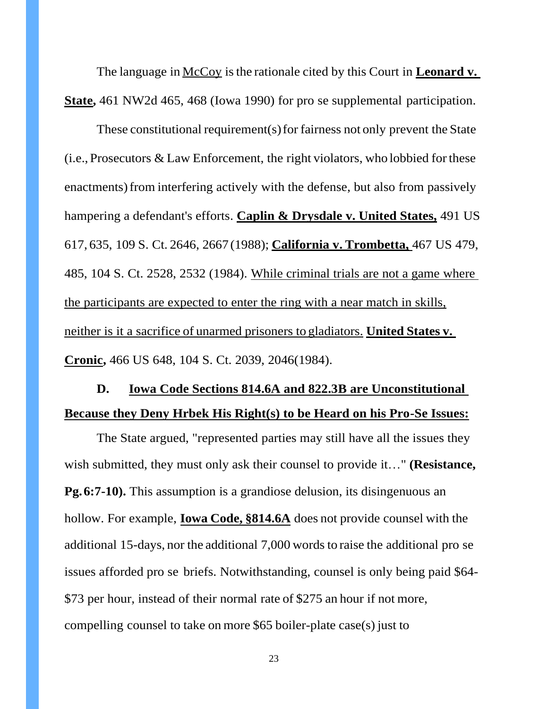The language in <u>McCoy</u> is the rationale cited by this Court in **Leonard v. State,** 461 NW2d 465, 468 (Iowa 1990) for pro se supplemental participation.

These constitutional requirement(s) for fairness not only prevent the State (i.e., Prosecutors & Law Enforcement, the right violators, who lobbied for these enactments) from interfering actively with the defense, but also from passively hampering a defendant's efforts. **Caplin & Drysdale v. United States,** 491 US 617, 635, 109 S. Ct. 2646, 2667 (1988); **California v. Trombetta,** 467 US 479, 485, 104 S. Ct. 2528, 2532 (1984). While criminal trials are not a game where the participants are expected to enter the ring with a near match in skills, neither is it a sacrifice of unarmed prisoners to gladiators. **United States v. Cronic,** 466 US 648, 104 S. Ct. 2039, 2046(1984).

# **D. Iowa Code Sections 814.6A and 822.3B are Unconstitutional Because they Deny Hrbek His Right(s) to be Heard on his Pro-Se Issues:**

The State argued, "represented parties may still have all the issues they wish submitted, they must only ask their counsel to provide it…" **(Resistance, Pg. 6:7-10).** This assumption is a grandiose delusion, its disingenuous an hollow. For example, **Iowa Code, §814.6A** does not provide counsel with the additional 15-days, nor the additional 7,000 words to raise the additional pro se issues afforded pro se briefs. Notwithstanding, counsel is only being paid \$64- \$73 per hour, instead of their normal rate of \$275 an hour if not more, compelling counsel to take on more \$65 boiler-plate case(s) just to

23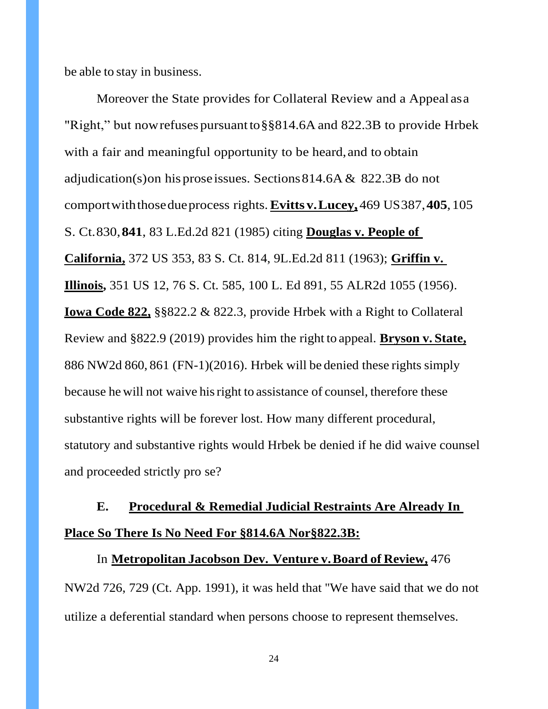be able to stay in business.

Moreover the State provides for Collateral Review and a Appeal as a "Right," but now refuses pursuant to §§814.6A and 822.3B to provide Hrbek with a fair and meaningful opportunity to be heard, and to obtain adjudication(s) on his prose issues. Sections 814.6A & 822.3B do not comport with those due process rights. **Evitts v. Lucey,** 469 US 387, **405**, 105 S. Ct. 830,**841**, 83 L.Ed.2d 821 (1985) citing **Douglas v. People of California,** 372 US 353, 83 S. Ct. 814, 9L.Ed.2d 811 (1963); **Griffin v. Illinois,** 351 US 12, 76 S. Ct. 585, 100 L. Ed 891, 55 ALR2d 1055 (1956). **Iowa Code 822,** §§822.2 & 822.3, provide Hrbek with a Right to Collateral Review and §822.9 (2019) provides him the right to appeal. **Bryson v. State,** 886 NW2d 860, 861 (FN-1)(2016). Hrbek will be denied these rights simply because he will not waive his right to assistance of counsel, therefore these substantive rights will be forever lost. How many different procedural, statutory and substantive rights would Hrbek be denied if he did waive counsel and proceeded strictly pro se?

# **E. Procedural & Remedial Judicial Restraints Are Already In** Place So There Is No Need For §814.6A Nor §822.3B:

In **Metropolitan Jacobson Dev. Venture v. Board of Review,** 476 NW2d 726, 729 (Ct. App. 1991), it was held that ''We have said that we do not utilize a deferential standard when persons choose to represent themselves.

24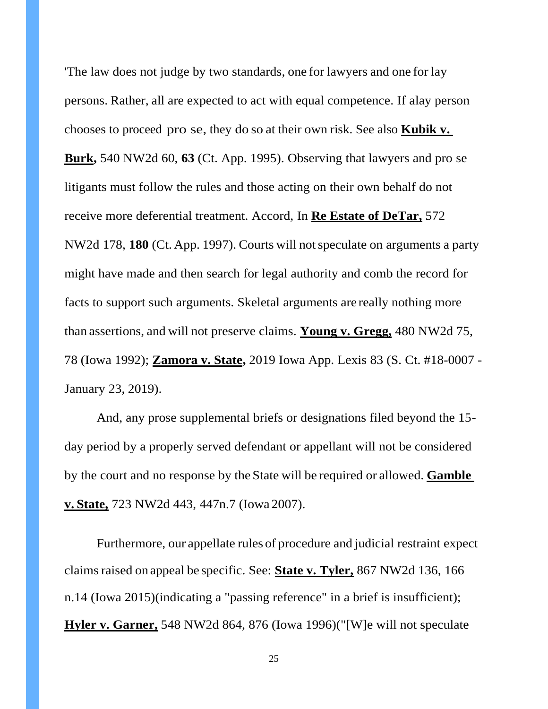'The law does not judge by two standards, one for lawyers and one for lay persons. Rather, all are expected to act with equal competence. If alay person chooses to proceed pro se, they do so at their own risk. See also **Kubik v. Burk,** 540 NW2d 60, **63** (Ct. App. 1995). Observing that lawyers and pro se litigants must follow the rules and those acting on their own behalf do not receive more deferential treatment. Accord, In **Re Estate of DeTar,** 572 NW2d 178, **180** (Ct. App. 1997). Courts will not speculate on arguments a party might have made and then search for legal authority and comb the record for facts to support such arguments. Skeletal arguments are really nothing more than assertions, and will not preserve claims. **Young v. Gregg,** 480 NW2d 75, 78 (Iowa 1992); **Zamora v. State,** 2019 Iowa App. Lexis 83 (S. Ct. #18-0007 - January 23, 2019).

And, any prose supplemental briefs or designations filed beyond the 15 day period by a properly served defendant or appellant will not be considered by the court and no response by the State will be required or allowed. **Gamble v. State,** 723 NW2d 443, 447n.7 (Iowa 2007).

Furthermore, our appellate rules of procedure and judicial restraint expect claims raised on appeal be specific. See: **State v. Tyler,** 867 NW2d 136, 166 n.14 (Iowa 2015)(indicating a "passing reference" in a brief is insufficient); **Hyler v. Garner,** 548 NW2d 864, 876 (Iowa 1996)("[W]e will not speculate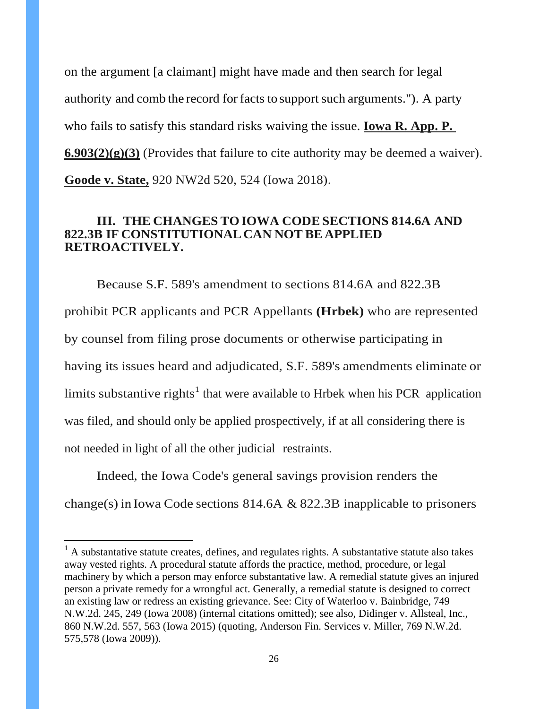on the argument [a claimant] might have made and then search for legal authority and comb the record for facts to support such arguments."). A party who fails to satisfy this standard risks waiving the issue. **Iowa R. App. P. 6.903(2)(g)(3)** (Provides that failure to cite authority may be deemed a waiver). Goode v. State, 920 NW2d 520, 524 (Iowa 2018).

#### **III. THE CHANGES TO IOWA CODE SECTIONS 814.6A AND 822.3B IF CONSTITUTIONAL CAN NOT BE APPLIED RETROACTIVELY.**

Because S.F. 589's amendment to sections 814.6A and 822.3B prohibit PCR applicants and PCR Appellants **(Hrbek)** who are represented by counsel from filing prose documents or otherwise participating in having its issues heard and adjudicated, S.F. 589's amendments eliminate or limits substantive rights<sup>1</sup> that were available to Hrbek when his PCR application was filed, and should only be applied prospectively, if at all considering there is not needed in light of all the other judicial restraints.

Indeed, the Iowa Code's general savings provision renders the change(s) in Iowa Code sections 814.6A  $&$  822.3B inapplicable to prisoners

 $<sup>1</sup>$  A substantative statute creates, defines, and regulates rights. A substantative statute also takes</sup> away vested rights. A procedural statute affords the practice, method, procedure, or legal machinery by which a person may enforce substantative law. A remedial statute gives an injured person a private remedy for a wrongful act. Generally, a remedial statute is designed to correct an existing law or redress an existing grievance. See: City of Waterloo v. Bainbridge, 749 N.W.2d. 245, 249 (Iowa 2008) (internal citations omitted); see also, Didinger v. Allsteal, Inc., 860 N.W.2d. 557, 563 (Iowa 2015) (quoting, Anderson Fin. Services v. Miller, 769 N.W.2d. 575,578 (Iowa 2009)).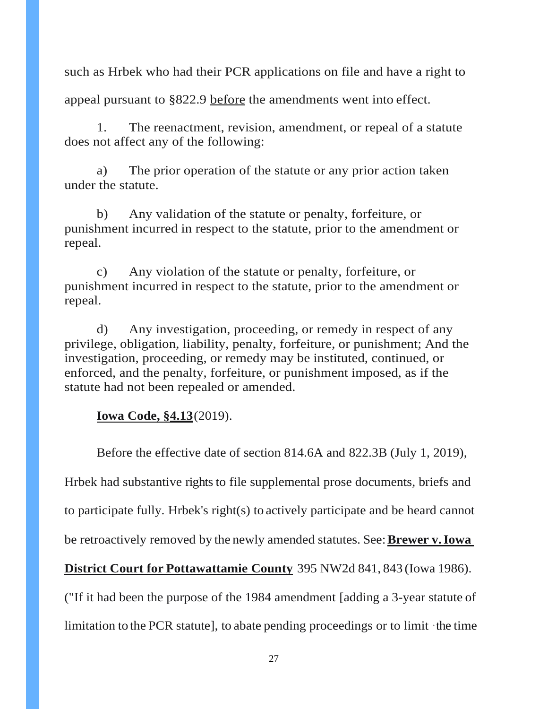such as Hrbek who had their PCR applications on file and have a right to

appeal pursuant to §822.9 before the amendments went into effect.

1. The reenactment, revision, amendment, or repeal of a statute does not affect any of the following:

a) The prior operation of the statute or any prior action taken under the statute.

b) Any validation of the statute or penalty, forfeiture, or punishment incurred in respect to the statute, prior to the amendment or repeal.

c) Any violation of the statute or penalty, forfeiture, or punishment incurred in respect to the statute, prior to the amendment or repeal.

d) Any investigation, proceeding, or remedy in respect of any privilege, obligation, liability, penalty, forfeiture, or punishment; And the investigation, proceeding, or remedy may be instituted, continued, or enforced, and the penalty, forfeiture, or punishment imposed, as if the statute had not been repealed or amended.

#### **Iowa Code, §4.13**(2019).

Before the effective date of section 814.6A and 822.3B (July 1, 2019),

Hrbek had substantive rights to file supplemental prose documents, briefs and

to participate fully. Hrbek's right(s) to actively participate and be heard cannot

be retroactively removed by the newly amended statutes. See: **Brewer v. Iowa** 

**District Court for Pottawattamie County** 395 NW2d 841, 843 (Iowa 1986).

("If it had been the purpose of the 1984 amendment [adding a 3-year statute of limitation to the PCR statute], to abate pending proceedings or to limit ·the time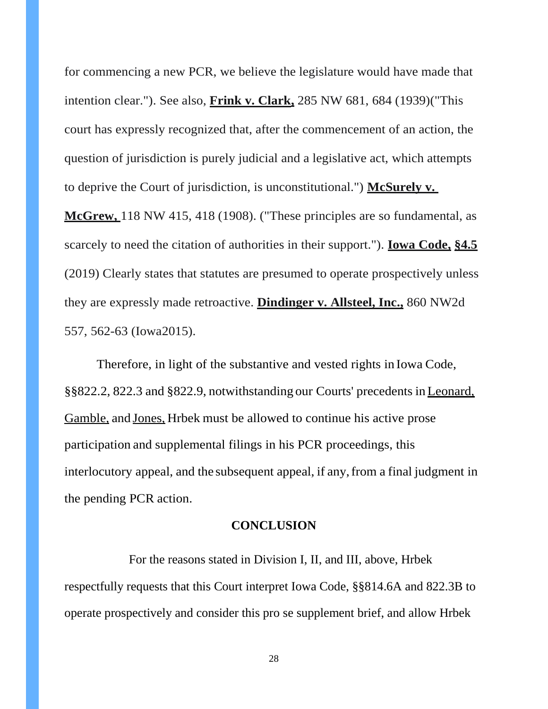for commencing a new PCR, we believe the legislature would have made that intention clear."). See also, **Frink v. Clark,** 285 NW 681, 684 (1939)("This court has expressly recognized that, after the commencement of an action, the question of jurisdiction is purely judicial and a legislative act, which attempts to deprive the Court of jurisdiction, is unconstitutional.") **McSurely v.** 

**McGrew,** 118 NW 415, 418 (1908). ("These principles are so fundamental, as scarcely to need the citation of authorities in their support."). **Iowa Code, §4.5** (2019) Clearly states that statutes are presumed to operate prospectively unless they are expressly made retroactive. **Dindinger v. Allsteel, Inc.,** 860 NW2d 557, 562-63 (Iowa 2015).

Therefore, in light of the substantive and vested rights in Iowa Code, §§822.2, 822.3 and §822.9, notwithstanding our Courts' precedents in Leonard, Gamble, and Jones, Hrbek must be allowed to continue his active prose participation and supplemental filings in his PCR proceedings, this interlocutory appeal, and the subsequent appeal, if any, from a final judgment in the pending PCR action.

#### **CONCLUSION**

For the reasons stated in Division I, II, and III, above, Hrbek respectfully requests that this Court interpret Iowa Code, §§814.6A and 822.3B to operate prospectively and consider this pro se supplement brief, and allow Hrbek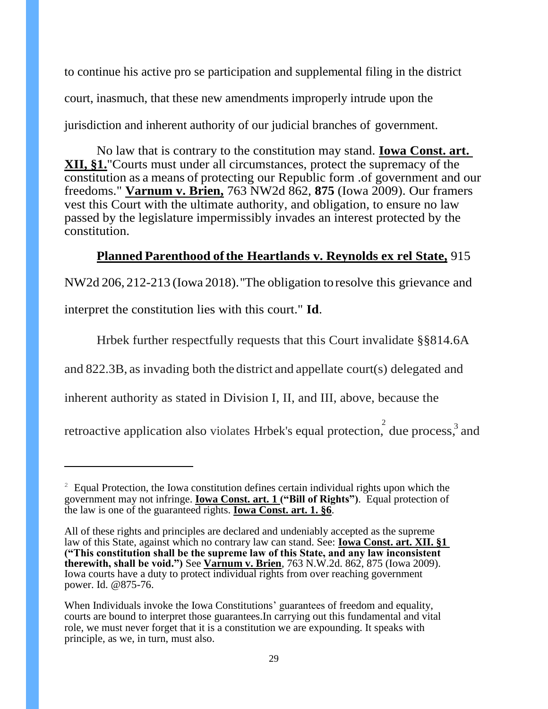to continue his active pro se participation and supplemental filing in the district court, inasmuch, that these new amendments improperly intrude upon the jurisdiction and inherent authority of our judicial branches of government.

No law that is contrary to the constitution may stand. **Iowa Const. art. XII, §1.**"Courts must under all circumstances, protect the supremacy of the constitution as a means of protecting our Republic form .of government and our freedoms." **Varnum v. Brien,** 763 NW2d 862, **875** (Iowa 2009). Our framers vest this Court with the ultimate authority, and obligation, to ensure no law passed by the legislature impermissibly invades an interest protected by the constitution.

### **Planned Parenthood of the Heartlands v. Reynolds ex rel State,** 915

NW2d 206, 212-213 (Iowa 2018). ''The obligation to resolve this grievance and interpret the constitution lies with this court." **Id**.

Hrbek further respectfully requests that this Court invalidate §§814.6A

and 822.3B, as invading both the district and appellate court(s) delegated and

inherent authority as stated in Division I, II, and III, above, because the

retroactive application also violates Hrbek's equal protection, due process, and

 $2 \text{}$  Equal Protection, the Iowa constitution defines certain individual rights upon which the government may not infringe. **Iowa Const. art. 1 ("Bill of Rights")**. Equal protection of the law is one of the guaranteed rights. **Iowa Const. art. 1. §6**.

All of these rights and principles are declared and undeniably accepted as the supreme law of this State, against which no contrary law can stand. See: **Iowa Const. art. XII. §1 ("This constitution shall be the supreme law of this State, and any law inconsistent therewith, shall be void.")** See **Varnum v. Brien**, 763 N.W.2d. 862, 875 (Iowa 2009). Iowa courts have a duty to protect individual rights from over reaching government power. Id. @875-76.

When Individuals invoke the Iowa Constitutions' guarantees of freedom and equality, courts are bound to interpret those guarantees. In carrying out this fundamental and vital role, we must never forget that it is a constitution we are expounding. It speaks with principle, as we, in turn, must also.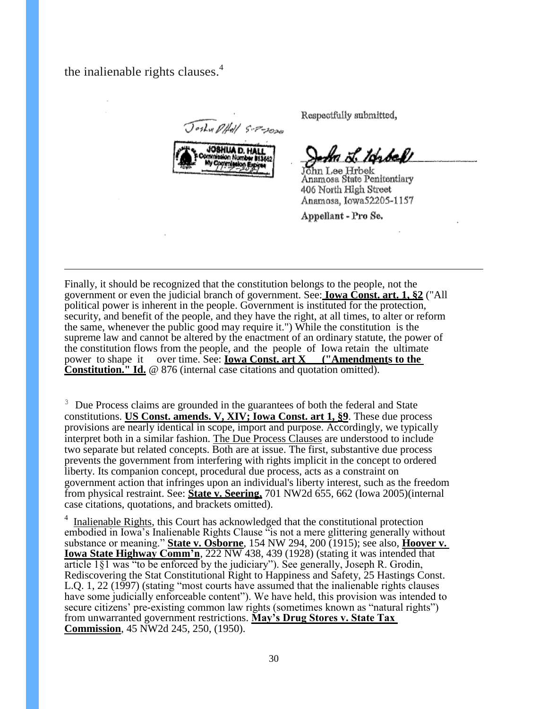the inalienable rights clauses.<sup>4</sup>

Joshu DHAL S-P-2020



Respectfully submitted,

ka L. tonbakt

John Lee Hrbek Anamosa State Penitentiary 406 North High Street Anamosa, Iowa52205-1157

Appellant - Pro Se.

Finally, it should be recognized that the constitution belongs to the people, not the government or even the judicial branch of government. See: **Iowa Const. art. 1, §2** ("All political power is inherent in the people. Government is instituted for the protection, security, and benefit of the people, and they have the right, at all times, to alter or reform the same, whenever the public good may require it.") While the constitution is the supreme law and cannot be altered by the enactment of an ordinary statute, the power of the constitution flows from the people, and the people of Iowa retain the ultimate power to shape it over time. See: **<u>Iowa Const. art X ("Amendments to the</u> Constitution.**" **Id.** @ 876 (internal case citations and quotation omitted).

<sup>3</sup> Due Process claims are grounded in the guarantees of both the federal and State constitutions. **US Const. amends. V, XIV; Iowa Const. art 1, §9**. These due process provisions are nearly identical in scope, import and purpose. Accordingly, we typically interpret both in a similar fashion. The Due Process Clauses are understood to include two separate but related concepts. Both are at issue. The first, substantive due process prevents the government from interfering with rights implicit in the concept to ordered liberty. Its companion concept, procedural due process, acts as a constraint on government action that infringes upon an individual's liberty interest, such as the freedom from physical restraint. See: **State v. Seering,** 701 NW2d 655, 662 (Iowa 2005)(internal case citations, quotations, and brackets omitted).

<sup>4</sup> Inalienable Rights, this Court has acknowledged that the constitutional protection embodied in Iowa's Inalienable Rights Clause "is not a mere glittering generally without substance or meaning." **State v. Osborne**, 154 NW 294, 200 (1915); see also, **Hoover v. Iowa State Highway Comm'n, 222 NW 438, 439 (1928) (stating it was intended that** article 1§1 was "to be enforced by the judiciary"). See generally, Joseph R. Grodin, Rediscovering the Stat Constitutional Right to Happiness and Safety, 25 Hastings Const. L.Q. 1, 22 (1997) (stating "most courts have assumed that the inalienable rights clauses have some judicially enforceable content"). We have held, this provision was intended to secure citizens' pre-existing common law rights (sometimes known as "natural rights") from unwarranted government restrictions. **May's Drug Stores v. State Tax Commission**, 45 NW2d 245, 250, (1950).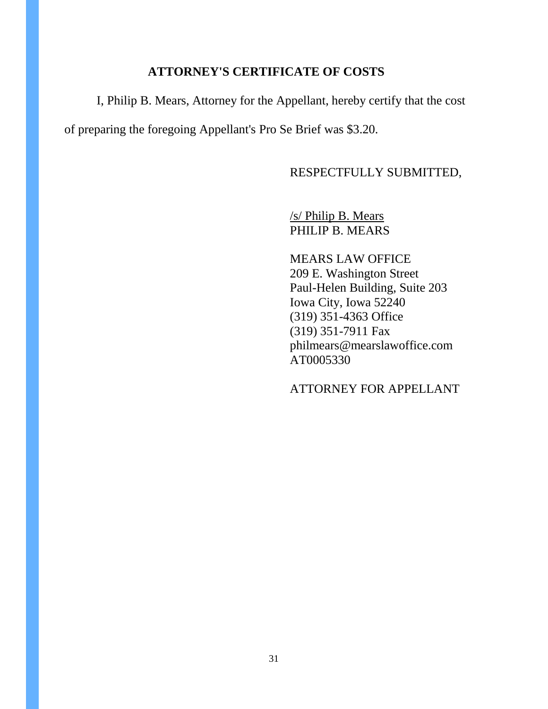#### **ATTORNEY'S CERTIFICATE OF COSTS**

I, Philip B. Mears, Attorney for the Appellant, hereby certify that the cost of preparing the foregoing Appellant's Pro Se Brief was \$3.20.

#### RESPECTFULLY SUBMITTED,

/s/ Philip B. Mears PHILIP B. MEARS

MEARS LAW OFFICE 209 E. Washington Street Paul-Helen Building, Suite 203 Iowa City, Iowa 52240 (319) 351-4363 Office (319) 351-7911 Fax philmears@mearslawoffice.com AT0005330

ATTORNEY FOR APPELLANT